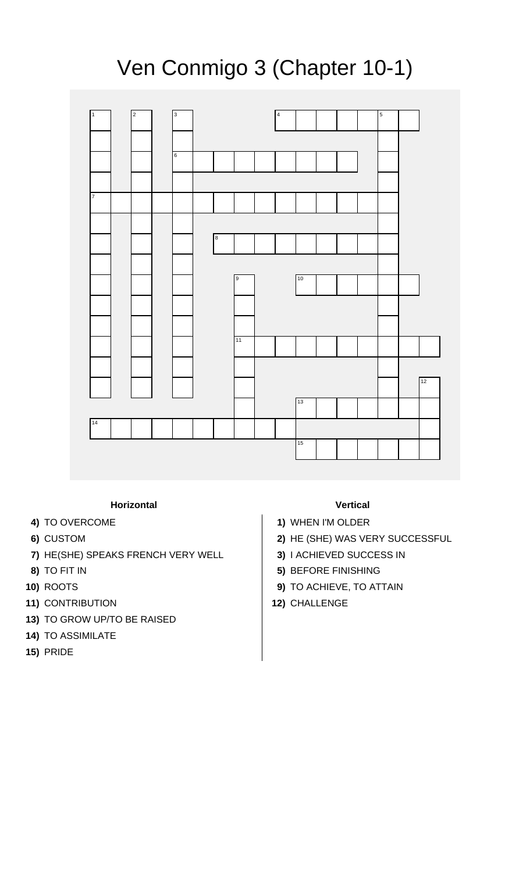## Ven Conmigo 3 (Chapter 10-1)



## **Horizontal Vertical**

- 
- 
- **7)** HE(SHE) SPEAKS FRENCH VERY WELL **3)** I ACHIEVED SUCCESS IN
- 
- 
- **11)** CONTRIBUTION **12)** CHALLENGE
- **13)** TO GROW UP/TO BE RAISED
- **14)** TO ASSIMILATE
- **15)** PRIDE

- **4)** TO OVERCOME **1)** WHEN I'M OLDER
- **6)** CUSTOM **2)** HE (SHE) WAS VERY SUCCESSFUL
	-
- **8)** TO FIT IN **5)** BEFORE FINISHING
- **10)** ROOTS **9)** TO ACHIEVE, TO ATTAIN
	-